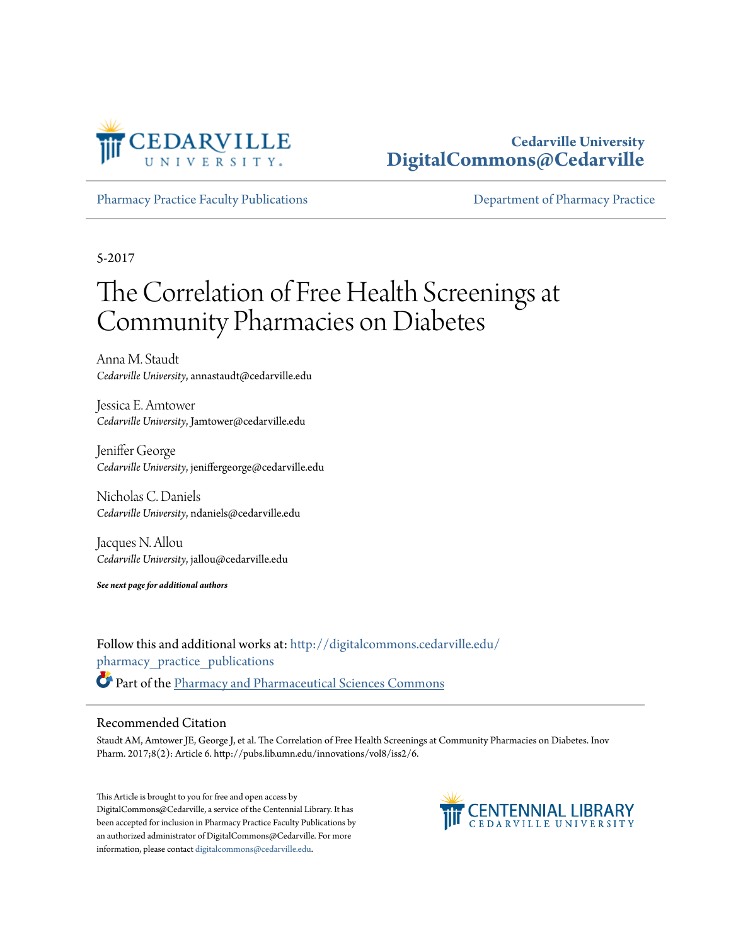

## **Cedarville University [DigitalCommons@Cedarville](http://digitalcommons.cedarville.edu?utm_source=digitalcommons.cedarville.edu%2Fpharmacy_practice_publications%2F326&utm_medium=PDF&utm_campaign=PDFCoverPages)**

[Pharmacy Practice Faculty Publications](http://digitalcommons.cedarville.edu/pharmacy_practice_publications?utm_source=digitalcommons.cedarville.edu%2Fpharmacy_practice_publications%2F326&utm_medium=PDF&utm_campaign=PDFCoverPages) [Department of Pharmacy Practice](http://digitalcommons.cedarville.edu/pharmacy_practice?utm_source=digitalcommons.cedarville.edu%2Fpharmacy_practice_publications%2F326&utm_medium=PDF&utm_campaign=PDFCoverPages)

5-2017

## The Correlation of Free Health Screenings at Community Pharmacies on Diabetes

Anna M. Staudt *Cedarville University*, annastaudt@cedarville.edu

Jessica E. Amtower *Cedarville University*, Jamtower@cedarville.edu

Jeniffer George *Cedarville University*, jeniffergeorge@cedarville.edu

Nicholas C. Daniels *Cedarville University*, ndaniels@cedarville.edu

Jacques N. Allou *Cedarville University*, jallou@cedarville.edu

*See next page for additional authors*

Follow this and additional works at: [http://digitalcommons.cedarville.edu/](http://digitalcommons.cedarville.edu/pharmacy_practice_publications?utm_source=digitalcommons.cedarville.edu%2Fpharmacy_practice_publications%2F326&utm_medium=PDF&utm_campaign=PDFCoverPages) [pharmacy\\_practice\\_publications](http://digitalcommons.cedarville.edu/pharmacy_practice_publications?utm_source=digitalcommons.cedarville.edu%2Fpharmacy_practice_publications%2F326&utm_medium=PDF&utm_campaign=PDFCoverPages) Part of the [Pharmacy and Pharmaceutical Sciences Commons](http://network.bepress.com/hgg/discipline/731?utm_source=digitalcommons.cedarville.edu%2Fpharmacy_practice_publications%2F326&utm_medium=PDF&utm_campaign=PDFCoverPages)

### Recommended Citation

Staudt AM, Amtower JE, George J, et al. The Correlation of Free Health Screenings at Community Pharmacies on Diabetes. Inov Pharm. 2017;8(2): Article 6. http://pubs.lib.umn.edu/innovations/vol8/iss2/6.

This Article is brought to you for free and open access by DigitalCommons@Cedarville, a service of the Centennial Library. It has been accepted for inclusion in Pharmacy Practice Faculty Publications by an authorized administrator of DigitalCommons@Cedarville. For more information, please contact [digitalcommons@cedarville.edu.](mailto:digitalcommons@cedarville.edu)

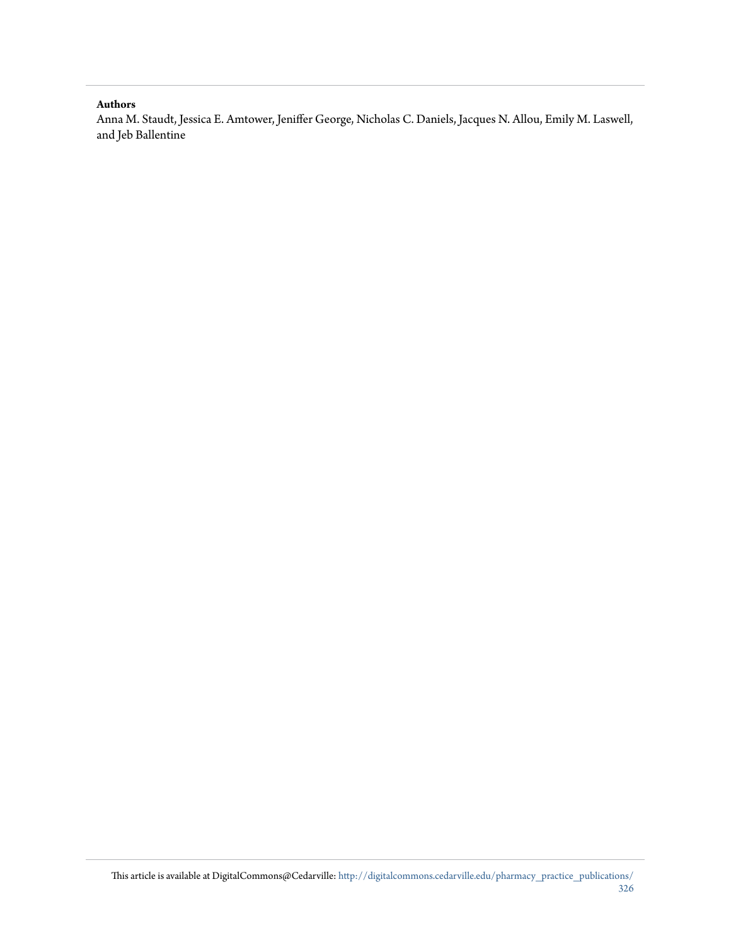#### **Authors**

Anna M. Staudt, Jessica E. Amtower, Jeniffer George, Nicholas C. Daniels, Jacques N. Allou, Emily M. Laswell, and Jeb Ballentine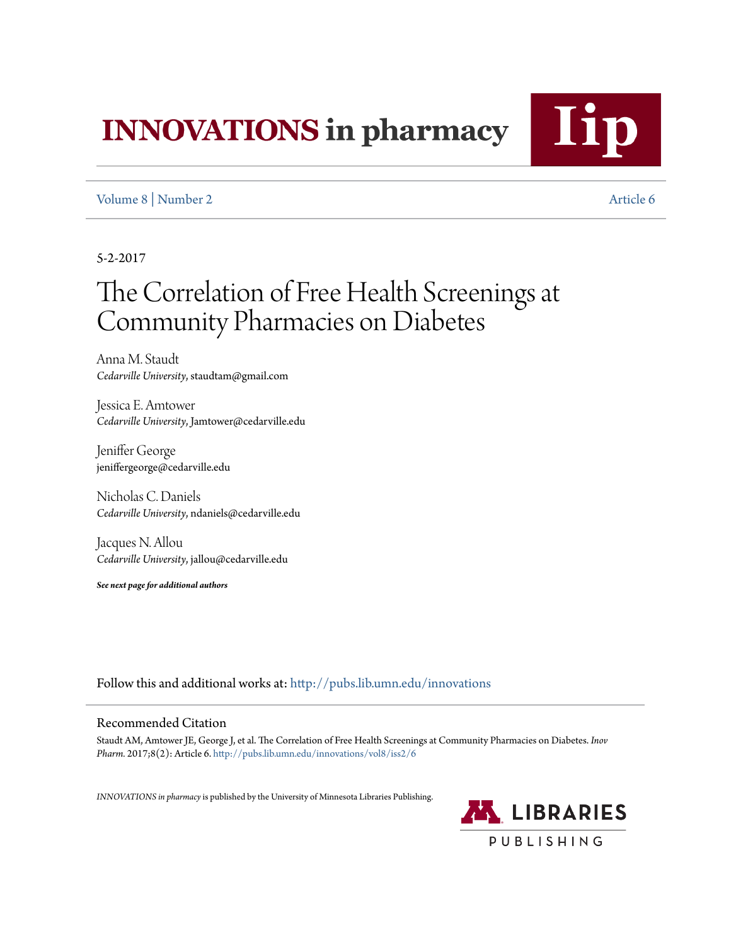# **INNOVATIONS** in pharmacy

## [Volume 8](http://pubs.lib.umn.edu/innovations/vol8?utm_source=pubs.lib.umn.edu%2Finnovations%2Fvol8%2Fiss2%2F6&utm_medium=PDF&utm_campaign=PDFCoverPages) | [Number 2](http://pubs.lib.umn.edu/innovations/vol8/iss2?utm_source=pubs.lib.umn.edu%2Finnovations%2Fvol8%2Fiss2%2F6&utm_medium=PDF&utm_campaign=PDFCoverPages) [Article 6](http://pubs.lib.umn.edu/innovations/vol8/iss2/6?utm_source=pubs.lib.umn.edu%2Finnovations%2Fvol8%2Fiss2%2F6&utm_medium=PDF&utm_campaign=PDFCoverPages)

5-2-2017

## The Correlation of Free Health Screenings at Community Pharmacies on Diabetes

Anna M. Staudt *Cedarville University*, staudtam@gmail.com

Jessica E. Amtower *Cedarville University*, Jamtower@cedarville.edu

Jeniffer George jeniffergeorge@cedarville.edu

Nicholas C. Daniels *Cedarville University*, ndaniels@cedarville.edu

Jacques N. Allou *Cedarville University*, jallou@cedarville.edu

*See next page for additional authors*

Follow this and additional works at: [http://pubs.lib.umn.edu/innovations](http://pubs.lib.umn.edu/innovations?utm_source=pubs.lib.umn.edu%2Finnovations%2Fvol8%2Fiss2%2F6&utm_medium=PDF&utm_campaign=PDFCoverPages)

### Recommended Citation

Staudt AM, Amtower JE, George J, et al. The Correlation of Free Health Screenings at Community Pharmacies on Diabetes. *Inov Pharm.* 2017;8(2): Article 6. [http://pubs.lib.umn.edu/innovations/vol8/iss2/6](http://pubs.lib.umn.edu/innovations/vol8/iss2/6?utm_source=pubs.lib.umn.edu%2Finnovations%2Fvol8%2Fiss2%2F6&utm_medium=PDF&utm_campaign=PDFCoverPages)

*INNOVATIONS in pharmacy*is published by the University of Minnesota Libraries Publishing.

**AN LIBRARIES** PUBLISHING

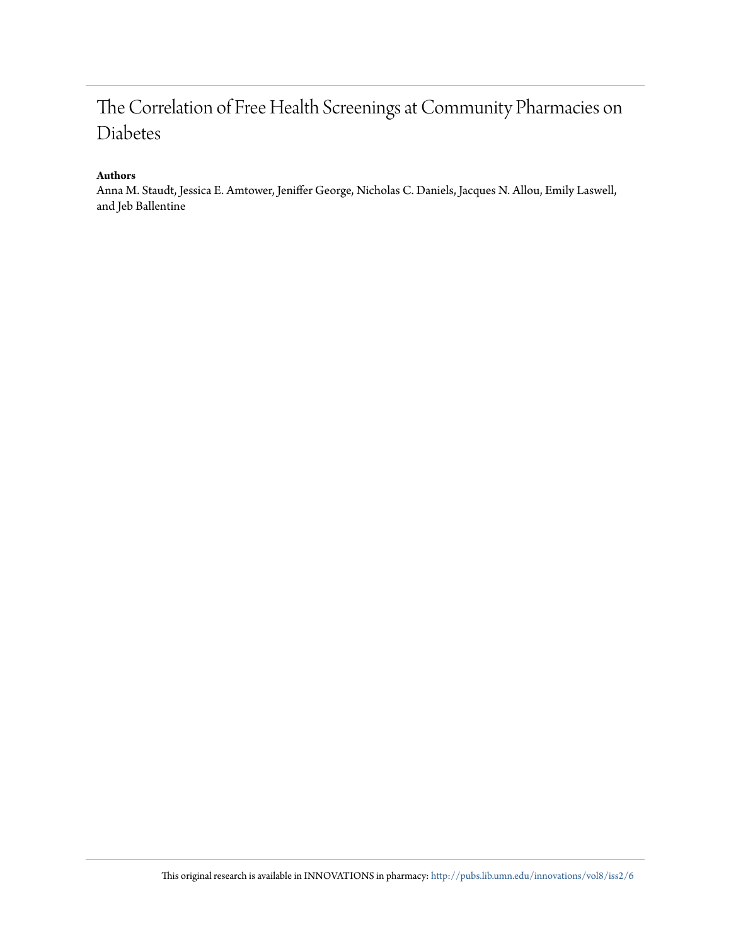## The Correlation of Free Health Screenings at Community Pharmacies on Diabetes

### **Authors**

Anna M. Staudt, Jessica E. Amtower, Jeniffer George, Nicholas C. Daniels, Jacques N. Allou, Emily Laswell, and Jeb Ballentine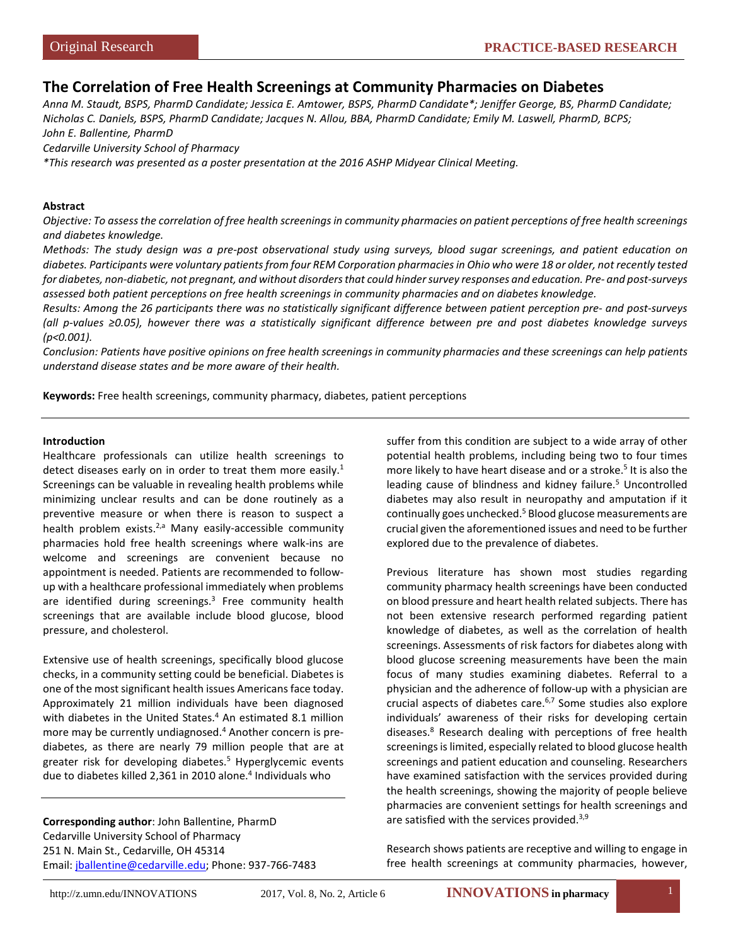## **The Correlation of Free Health Screenings at Community Pharmacies on Diabetes**

*Anna M. Staudt, BSPS, PharmD Candidate; Jessica E. Amtower, BSPS, PharmD Candidate\*; Jeniffer George, BS, PharmD Candidate; Nicholas C. Daniels, BSPS, PharmD Candidate; Jacques N. Allou, BBA, PharmD Candidate; Emily M. Laswell, PharmD, BCPS; John E. Ballentine, PharmD*

*Cedarville University School of Pharmacy*

*\*This research was presented as a poster presentation at the 2016 ASHP Midyear Clinical Meeting.*

#### **Abstract**

*Objective: To assess the correlation of free health screenings in community pharmacies on patient perceptions of free health screenings and diabetes knowledge.* 

*Methods: The study design was a pre-post observational study using surveys, blood sugar screenings, and patient education on diabetes. Participants were voluntary patients from four REM Corporation pharmacies in Ohio who were 18 or older, not recently tested for diabetes, non-diabetic, not pregnant, and without disorders that could hinder survey responses and education. Pre- and post-surveys assessed both patient perceptions on free health screenings in community pharmacies and on diabetes knowledge.*

*Results: Among the 26 participants there was no statistically significant difference between patient perception pre- and post-surveys (all p-values ≥0.05), however there was a statistically significant difference between pre and post diabetes knowledge surveys (p<0.001).* 

*Conclusion: Patients have positive opinions on free health screenings in community pharmacies and these screenings can help patients understand disease states and be more aware of their health.*

**Keywords:** Free health screenings, community pharmacy, diabetes, patient perceptions

#### **Introduction**

Healthcare professionals can utilize health screenings to detect diseases early on in order to treat them more easily. $<sup>1</sup>$ </sup> Screenings can be valuable in revealing health problems while minimizing unclear results and can be done routinely as a preventive measure or when there is reason to suspect a health problem exists. $^{2,a}$  Many easily-accessible community pharmacies hold free health screenings where walk-ins are welcome and screenings are convenient because no appointment is needed. Patients are recommended to followup with a healthcare professional immediately when problems are identified during screenings. $3$  Free community health screenings that are available include blood glucose, blood pressure, and cholesterol.

Extensive use of health screenings, specifically blood glucose checks, in a community setting could be beneficial. Diabetes is one of the most significant health issues Americans face today. Approximately 21 million individuals have been diagnosed with diabetes in the United States.<sup>4</sup> An estimated 8.1 million more may be currently undiagnosed.<sup>4</sup> Another concern is prediabetes, as there are nearly 79 million people that are at greater risk for developing diabetes.<sup>5</sup> Hyperglycemic events due to diabetes killed 2,361 in 2010 alone.<sup>4</sup> Individuals who

**Corresponding author**: John Ballentine, PharmD Cedarville University School of Pharmacy 251 N. Main St., Cedarville, OH 45314 Email: [jballentine@cedarville.edu;](mailto:jballentine@cedarville.edu) Phone: 937-766-7483 suffer from this condition are subject to a wide array of other potential health problems, including being two to four times more likely to have heart disease and or a stroke.<sup>5</sup> It is also the leading cause of blindness and kidney failure.<sup>5</sup> Uncontrolled diabetes may also result in neuropathy and amputation if it continually goes unchecked.<sup>5</sup> Blood glucose measurements are crucial given the aforementioned issues and need to be further explored due to the prevalence of diabetes.

Previous literature has shown most studies regarding community pharmacy health screenings have been conducted on blood pressure and heart health related subjects. There has not been extensive research performed regarding patient knowledge of diabetes, as well as the correlation of health screenings. Assessments of risk factors for diabetes along with blood glucose screening measurements have been the main focus of many studies examining diabetes. Referral to a physician and the adherence of follow-up with a physician are crucial aspects of diabetes care.<sup>6,7</sup> Some studies also explore individuals' awareness of their risks for developing certain diseases.8 Research dealing with perceptions of free health screenings is limited, especially related to blood glucose health screenings and patient education and counseling. Researchers have examined satisfaction with the services provided during the health screenings, showing the majority of people believe pharmacies are convenient settings for health screenings and are satisfied with the services provided.<sup>3,9</sup>

Research shows patients are receptive and willing to engage in free health screenings at community pharmacies, however,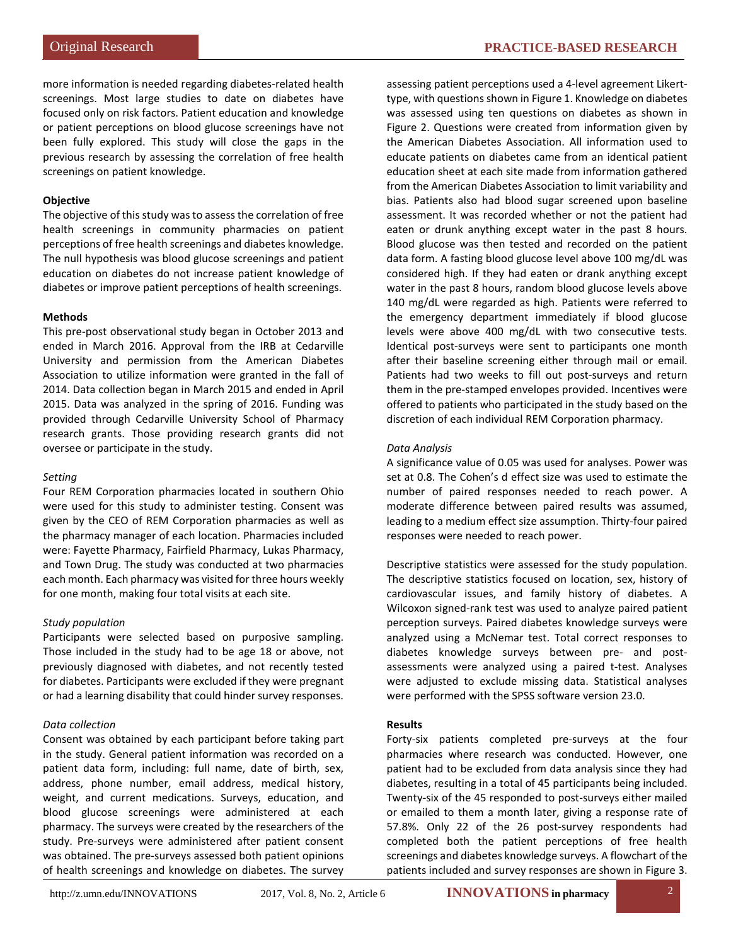more information is needed regarding diabetes-related health screenings. Most large studies to date on diabetes have focused only on risk factors. Patient education and knowledge or patient perceptions on blood glucose screenings have not been fully explored. This study will close the gaps in the previous research by assessing the correlation of free health screenings on patient knowledge.

#### **Objective**

The objective of this study was to assess the correlation of free health screenings in community pharmacies on patient perceptions of free health screenings and diabetes knowledge. The null hypothesis was blood glucose screenings and patient education on diabetes do not increase patient knowledge of diabetes or improve patient perceptions of health screenings.

#### **Methods**

This pre-post observational study began in October 2013 and ended in March 2016. Approval from the IRB at Cedarville University and permission from the American Diabetes Association to utilize information were granted in the fall of 2014. Data collection began in March 2015 and ended in April 2015. Data was analyzed in the spring of 2016. Funding was provided through Cedarville University School of Pharmacy research grants. Those providing research grants did not oversee or participate in the study.

#### *Setting*

Four REM Corporation pharmacies located in southern Ohio were used for this study to administer testing. Consent was given by the CEO of REM Corporation pharmacies as well as the pharmacy manager of each location. Pharmacies included were: Fayette Pharmacy, Fairfield Pharmacy, Lukas Pharmacy, and Town Drug. The study was conducted at two pharmacies each month. Each pharmacy was visited for three hours weekly for one month, making four total visits at each site.

#### *Study population*

Participants were selected based on purposive sampling. Those included in the study had to be age 18 or above, not previously diagnosed with diabetes, and not recently tested for diabetes. Participants were excluded if they were pregnant or had a learning disability that could hinder survey responses.

#### *Data collection*

Consent was obtained by each participant before taking part in the study. General patient information was recorded on a patient data form, including: full name, date of birth, sex, address, phone number, email address, medical history, weight, and current medications. Surveys, education, and blood glucose screenings were administered at each pharmacy. The surveys were created by the researchers of the study. Pre-surveys were administered after patient consent was obtained. The pre-surveys assessed both patient opinions of health screenings and knowledge on diabetes. The survey

assessing patient perceptions used a 4-level agreement Likerttype, with questions shown in Figure 1. Knowledge on diabetes was assessed using ten questions on diabetes as shown in Figure 2. Questions were created from information given by the American Diabetes Association. All information used to educate patients on diabetes came from an identical patient education sheet at each site made from information gathered from the American Diabetes Association to limit variability and bias. Patients also had blood sugar screened upon baseline assessment. It was recorded whether or not the patient had eaten or drunk anything except water in the past 8 hours. Blood glucose was then tested and recorded on the patient data form. A fasting blood glucose level above 100 mg/dL was considered high. If they had eaten or drank anything except water in the past 8 hours, random blood glucose levels above 140 mg/dL were regarded as high. Patients were referred to the emergency department immediately if blood glucose levels were above 400 mg/dL with two consecutive tests. Identical post-surveys were sent to participants one month after their baseline screening either through mail or email. Patients had two weeks to fill out post-surveys and return them in the pre-stamped envelopes provided. Incentives were offered to patients who participated in the study based on the discretion of each individual REM Corporation pharmacy.

#### *Data Analysis*

A significance value of 0.05 was used for analyses. Power was set at 0.8. The Cohen's d effect size was used to estimate the number of paired responses needed to reach power. A moderate difference between paired results was assumed, leading to a medium effect size assumption. Thirty-four paired responses were needed to reach power.

Descriptive statistics were assessed for the study population. The descriptive statistics focused on location, sex, history of cardiovascular issues, and family history of diabetes. A Wilcoxon signed-rank test was used to analyze paired patient perception surveys. Paired diabetes knowledge surveys were analyzed using a McNemar test. Total correct responses to diabetes knowledge surveys between pre- and postassessments were analyzed using a paired t-test. Analyses were adjusted to exclude missing data. Statistical analyses were performed with the SPSS software version 23.0.

#### **Results**

Forty-six patients completed pre-surveys at the four pharmacies where research was conducted. However, one patient had to be excluded from data analysis since they had diabetes, resulting in a total of 45 participants being included. Twenty-six of the 45 responded to post-surveys either mailed or emailed to them a month later, giving a response rate of 57.8%. Only 22 of the 26 post-survey respondents had completed both the patient perceptions of free health screenings and diabetes knowledge surveys. A flowchart of the patients included and survey responses are shown in Figure 3.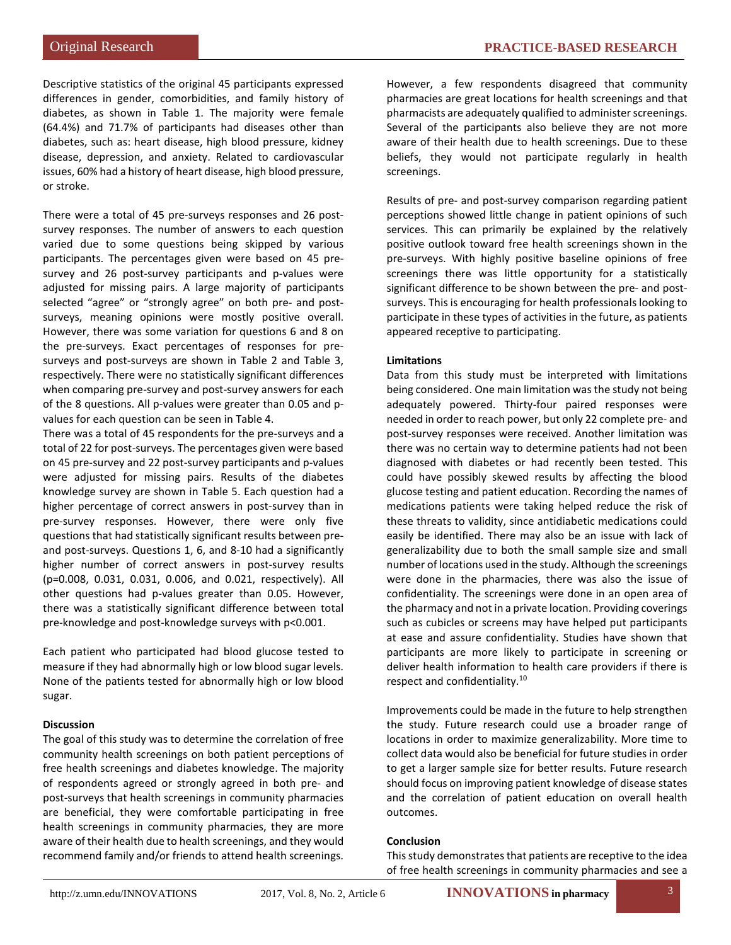Descriptive statistics of the original 45 participants expressed differences in gender, comorbidities, and family history of diabetes, as shown in Table 1. The majority were female (64.4%) and 71.7% of participants had diseases other than diabetes, such as: heart disease, high blood pressure, kidney disease, depression, and anxiety. Related to cardiovascular issues, 60% had a history of heart disease, high blood pressure, or stroke.

There were a total of 45 pre-surveys responses and 26 postsurvey responses. The number of answers to each question varied due to some questions being skipped by various participants. The percentages given were based on 45 presurvey and 26 post-survey participants and p-values were adjusted for missing pairs. A large majority of participants selected "agree" or "strongly agree" on both pre- and postsurveys, meaning opinions were mostly positive overall. However, there was some variation for questions 6 and 8 on the pre-surveys. Exact percentages of responses for presurveys and post-surveys are shown in Table 2 and Table 3, respectively. There were no statistically significant differences when comparing pre-survey and post-survey answers for each of the 8 questions. All p-values were greater than 0.05 and pvalues for each question can be seen in Table 4.

There was a total of 45 respondents for the pre-surveys and a total of 22 for post-surveys. The percentages given were based on 45 pre-survey and 22 post-survey participants and p-values were adjusted for missing pairs. Results of the diabetes knowledge survey are shown in Table 5. Each question had a higher percentage of correct answers in post-survey than in pre-survey responses. However, there were only five questions that had statistically significant results between preand post-surveys. Questions 1, 6, and 8-10 had a significantly higher number of correct answers in post-survey results (p=0.008, 0.031, 0.031, 0.006, and 0.021, respectively). All other questions had p-values greater than 0.05. However, there was a statistically significant difference between total pre-knowledge and post-knowledge surveys with p<0.001.

Each patient who participated had blood glucose tested to measure if they had abnormally high or low blood sugar levels. None of the patients tested for abnormally high or low blood sugar.

#### **Discussion**

The goal of this study was to determine the correlation of free community health screenings on both patient perceptions of free health screenings and diabetes knowledge. The majority of respondents agreed or strongly agreed in both pre- and post-surveys that health screenings in community pharmacies are beneficial, they were comfortable participating in free health screenings in community pharmacies, they are more aware of their health due to health screenings, and they would recommend family and/or friends to attend health screenings. However, a few respondents disagreed that community pharmacies are great locations for health screenings and that pharmacists are adequately qualified to administer screenings. Several of the participants also believe they are not more aware of their health due to health screenings. Due to these beliefs, they would not participate regularly in health screenings.

Results of pre- and post-survey comparison regarding patient perceptions showed little change in patient opinions of such services. This can primarily be explained by the relatively positive outlook toward free health screenings shown in the pre-surveys. With highly positive baseline opinions of free screenings there was little opportunity for a statistically significant difference to be shown between the pre- and postsurveys. This is encouraging for health professionals looking to participate in these types of activities in the future, as patients appeared receptive to participating.

#### **Limitations**

Data from this study must be interpreted with limitations being considered. One main limitation was the study not being adequately powered. Thirty-four paired responses were needed in order to reach power, but only 22 complete pre- and post-survey responses were received. Another limitation was there was no certain way to determine patients had not been diagnosed with diabetes or had recently been tested. This could have possibly skewed results by affecting the blood glucose testing and patient education. Recording the names of medications patients were taking helped reduce the risk of these threats to validity, since antidiabetic medications could easily be identified. There may also be an issue with lack of generalizability due to both the small sample size and small number of locations used in the study. Although the screenings were done in the pharmacies, there was also the issue of confidentiality. The screenings were done in an open area of the pharmacy and not in a private location. Providing coverings such as cubicles or screens may have helped put participants at ease and assure confidentiality. Studies have shown that participants are more likely to participate in screening or deliver health information to health care providers if there is respect and confidentiality.<sup>10</sup>

Improvements could be made in the future to help strengthen the study. Future research could use a broader range of locations in order to maximize generalizability. More time to collect data would also be beneficial for future studies in order to get a larger sample size for better results. Future research should focus on improving patient knowledge of disease states and the correlation of patient education on overall health outcomes.

#### **Conclusion**

This study demonstrates that patients are receptive to the idea of free health screenings in community pharmacies and see a